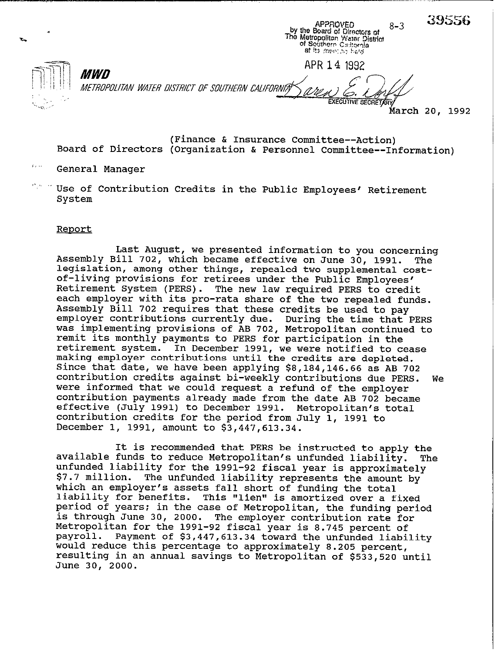39556 **APPROVED**  $8 - 3$ by the Board of Circums of<br>The Metropolitan Water District<br>of Southern California<br>at its meeting back APR 14 1992 *MWD* METROPOLITAN WATER DISTRICT OF SOUTHERN CALIFORNIA **EXECUTIVE SECRETARY ' harch 20, 1992** 

**Board of Directors (Organization & Personnel Committee--Information) (Finance & Insurance Committee--Action)** 

**', General Manager** 

Use of Contribution Credits in the Public Employees' Retirement **System** 

## Report

**Last August, we presented information to you concerning Assembly Bill 702, which became effective on June 30, 1991. The legislation, among other things, repealed two supplemental costof-living provisions for retirees under the Public Employees' Retirement System (PERS). The new law required PERS to credit each employer with its pro-rata share of the two repealed funds. Assembly Bill 702 requires that these credits be used to pay employer contributions currently due. During the time that PERS was implementing provisions of AB 702, Metropolitan continued to remit its monthly payments to PERS for participation in the retirement system. In December 1991, we were notified to cease making employer contributions until the credits are depleted. Since that date, we have been applying \$8,184,146.66 as AB 702 contribution credits against bi-weekly contributions due PERS. We were informed that we could request a refund of the employer contribution payments already made from the date AB 702 became effective (July 1991) to December 1991. Metropolitan's total contribution credits for the period from July 1, 1991 to December 1, 1991, amount to \$3,447,613.34.** 

**It is recommended that PERS be instructed to apply the**  available funds to reduce Metropolitan's unfunded liability. **unfunded liability for the 1991-92 fiscal year is approximately \$7.7 million. The unfunded liability represents the amount by which an employer's assets fall short of funding the total liability for benefits. This lVlienlt is amortized over a fixed period of years: in the case of Metropolitan, the funding period is through June 30, 2000. The employer contribution rate for Metropolitan for the 1991-92 fiscal year is 8.745 percent of**  Payment of \$3,447,613.34 toward the unfunded liability would reduce this percentage to approximately 8.205 percent, **resulting in an annual savings to-Metropolitan of \$533,520 until June 30, 2000.**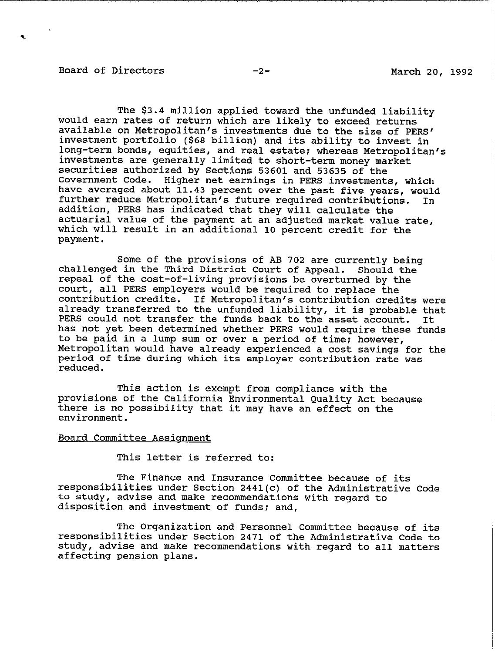## Board of Directors -2- -2- March 20, 1992

\.

The \$3.4 million applied toward the unfunded liability would earn rates of return which are likely to exceed returns available on Metropolitan's investments due to the size of PERS' investment portfolio (\$68 billion) and its ability to invest in long-term bonds, equities, and real estate; whereas Metropolitan's investments are generally limited to short-term money market securities authorized by Sections 53601 and 53635 of the Government Code. Higher net earnings in PERS investments, which have averaged about 11.43 percent over the past five years, would<br>further reduce Metropolitan's future required contributions. In further reduce Metropolitan's future required contributions. addition, PERS has indicated that they will calculate the actuarial value of the payment at an adjusted market value rate, which will result in an additional 10 percent credit for the payment.

Some of the provisions of AB 702 are currently being challenged in the Third District Court of Appeal. Should the repeal of the cost-of-living provisions be overturned by the court, all PERS employers would be required to replace the contribution credits. If Metropolitan's contribution credits were education of the contract of the unfunded liability, it is probable that<br>PERS could not transfer the funds back to the asset account. It PERS could not transfer the funds back to the asset account. has not yet been determined whether PERS would require these funds to be paid in a lump sum or over a period of time; however, Metropolitan would have already experienced a cost savings for the period of time during which its employer contribution rate was reduced.

This action is exempt from compliance with the provisions of the California Environmental Quality Act because there is no possibility that it may have an effect on the environment.

## Board Committee Assignment

This letter is referred to:

The Finance and Insurance Committee because of its responsibilities under Section 2441(c) of the Administrative Code to study, advise and make recommendations with regard to disposition and investment of funds; and,

The Organization and Personnel Committee because of its responsibilities under Section 2471 of the Administrative Code to study, advise and make recommendations with regard to all matters affecting pension plans.